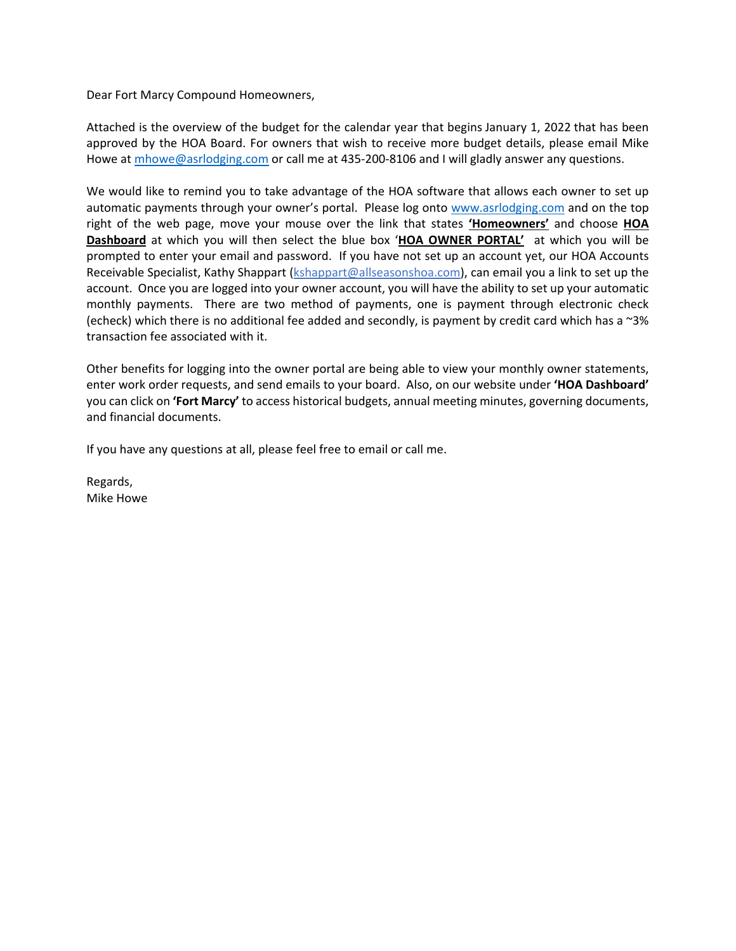Dear Fort Marcy Compound Homeowners,

Attached is the overview of the budget for the calendar year that begins January 1, 2022 that has been approved by the HOA Board. For owners that wish to receive more budget details, please email Mike Howe at mhowe@asrlodging.com or call me at 435-200-8106 and I will gladly answer any questions.

We would like to remind you to take advantage of the HOA software that allows each owner to set up automatic payments through your owner's portal. Please log onto www.asrlodging.com and on the top right of the web page, move your mouse over the link that states **'Homeowners'** and choose **HOA Dashboard** at which you will then select the blue box '**HOA OWNER PORTAL'** at which you will be prompted to enter your email and password. If you have not set up an account yet, our HOA Accounts Receivable Specialist, Kathy Shappart (kshappart@allseasonshoa.com), can email you a link to set up the account. Once you are logged into your owner account, you will have the ability to set up your automatic monthly payments. There are two method of payments, one is payment through electronic check (echeck) which there is no additional fee added and secondly, is payment by credit card which has a ~3% transaction fee associated with it.

Other benefits for logging into the owner portal are being able to view your monthly owner statements, enter work order requests, and send emails to your board. Also, on our website under **'HOA Dashboard'** you can click on **'Fort Marcy'** to access historical budgets, annual meeting minutes, governing documents, and financial documents.

If you have any questions at all, please feel free to email or call me.

Regards, Mike Howe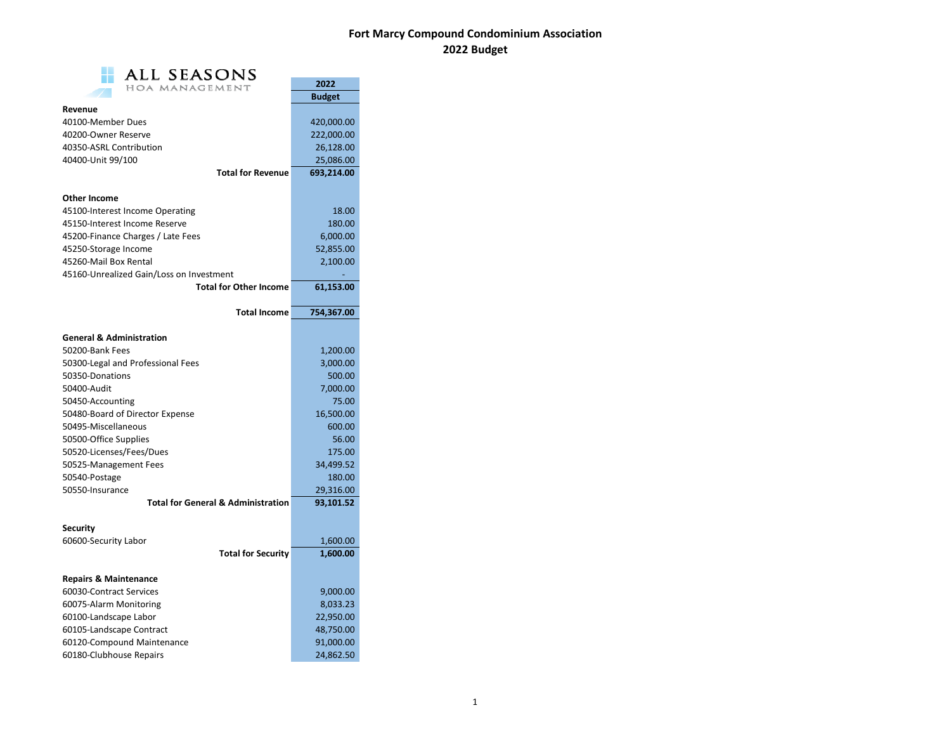## **Fort Marcy Compound Condominium Association 2022 Budget**

| ALL SEASONS                                   |               |
|-----------------------------------------------|---------------|
| HOA MANAGEMENT                                | 2022          |
|                                               | <b>Budget</b> |
| Revenue                                       |               |
| 40100-Member Dues                             | 420,000.00    |
| 40200-Owner Reserve                           | 222,000.00    |
| 40350-ASRL Contribution                       | 26,128.00     |
| 40400-Unit 99/100                             | 25,086.00     |
| <b>Total for Revenue</b>                      | 693,214.00    |
|                                               |               |
| <b>Other Income</b>                           |               |
| 45100-Interest Income Operating               | 18.00         |
| 45150-Interest Income Reserve                 | 180.00        |
| 45200-Finance Charges / Late Fees             | 6,000.00      |
| 45250-Storage Income                          | 52,855.00     |
| 45260-Mail Box Rental                         | 2,100.00      |
| 45160-Unrealized Gain/Loss on Investment      |               |
| <b>Total for Other Income</b>                 | 61,153.00     |
| <b>Total Income</b>                           | 754,367.00    |
|                                               |               |
| <b>General &amp; Administration</b>           |               |
| 50200-Bank Fees                               | 1,200.00      |
| 50300-Legal and Professional Fees             | 3,000.00      |
| 50350-Donations                               | 500.00        |
| 50400-Audit                                   | 7,000.00      |
| 50450-Accounting                              | 75.00         |
| 50480-Board of Director Expense               | 16,500.00     |
| 50495-Miscellaneous                           | 600.00        |
| 50500-Office Supplies                         | 56.00         |
| 50520-Licenses/Fees/Dues                      | 175.00        |
| 50525-Management Fees                         | 34,499.52     |
| 50540-Postage                                 | 180.00        |
| 50550-Insurance                               | 29,316.00     |
| <b>Total for General &amp; Administration</b> | 93,101.52     |
| <b>Security</b>                               |               |
| 60600-Security Labor                          | 1,600.00      |
| <b>Total for Security</b>                     | 1,600.00      |
|                                               |               |
| <b>Repairs &amp; Maintenance</b>              |               |
| 60030-Contract Services                       | 9,000.00      |
| 60075-Alarm Monitoring                        | 8,033.23      |
| 60100-Landscape Labor                         | 22,950.00     |
| 60105-Landscape Contract                      | 48,750.00     |
| 60120-Compound Maintenance                    | 91,000.00     |
| 60180-Clubhouse Repairs                       | 24,862.50     |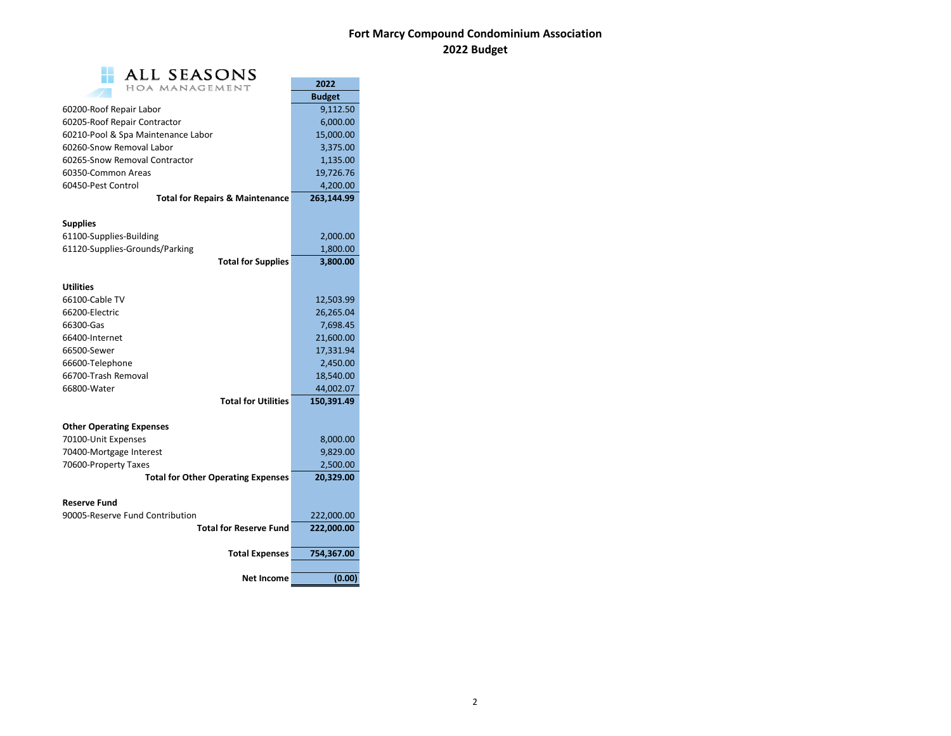## **Fort Marcy Compound Condominium Association 2022 Budget**

| <b>ALL SEASONS</b>                         |               |  |  |  |
|--------------------------------------------|---------------|--|--|--|
| HOA MANAGEMENT                             | 2022          |  |  |  |
|                                            | <b>Budget</b> |  |  |  |
| 60200-Roof Repair Labor                    | 9,112.50      |  |  |  |
| 60205-Roof Repair Contractor               | 6,000.00      |  |  |  |
| 60210-Pool & Spa Maintenance Labor         | 15,000.00     |  |  |  |
| 60260-Snow Removal Labor                   | 3,375.00      |  |  |  |
| 60265-Snow Removal Contractor              | 1,135.00      |  |  |  |
| 60350-Common Areas                         | 19,726.76     |  |  |  |
| 60450-Pest Control                         | 4,200.00      |  |  |  |
| <b>Total for Repairs &amp; Maintenance</b> | 263,144.99    |  |  |  |
| Supplies                                   |               |  |  |  |
| 61100-Supplies-Building                    | 2,000.00      |  |  |  |
| 61120-Supplies-Grounds/Parking             | 1,800.00      |  |  |  |
| <b>Total for Supplies</b>                  | 3,800.00      |  |  |  |
| <b>Utilities</b>                           |               |  |  |  |
| 66100-Cable TV                             | 12,503.99     |  |  |  |
| 66200-Electric                             | 26,265.04     |  |  |  |
| 66300-Gas                                  | 7,698.45      |  |  |  |
| 66400-Internet                             | 21,600.00     |  |  |  |
| 66500-Sewer                                | 17,331.94     |  |  |  |
| 66600-Telephone                            | 2,450.00      |  |  |  |
| 66700-Trash Removal                        | 18,540.00     |  |  |  |
| 66800-Water                                | 44,002.07     |  |  |  |
| <b>Total for Utilities</b>                 | 150,391.49    |  |  |  |
| <b>Other Operating Expenses</b>            |               |  |  |  |
| 70100-Unit Expenses                        | 8,000.00      |  |  |  |
| 70400-Mortgage Interest                    | 9,829.00      |  |  |  |
| 70600-Property Taxes                       | 2,500.00      |  |  |  |
| <b>Total for Other Operating Expenses</b>  | 20,329.00     |  |  |  |
| <b>Reserve Fund</b>                        |               |  |  |  |
| 90005-Reserve Fund Contribution            | 222,000.00    |  |  |  |
| <b>Total for Reserve Fund</b>              | 222,000.00    |  |  |  |
| <b>Total Expenses</b>                      | 754,367.00    |  |  |  |
| <b>Net Income</b>                          | (0.00)        |  |  |  |
|                                            |               |  |  |  |